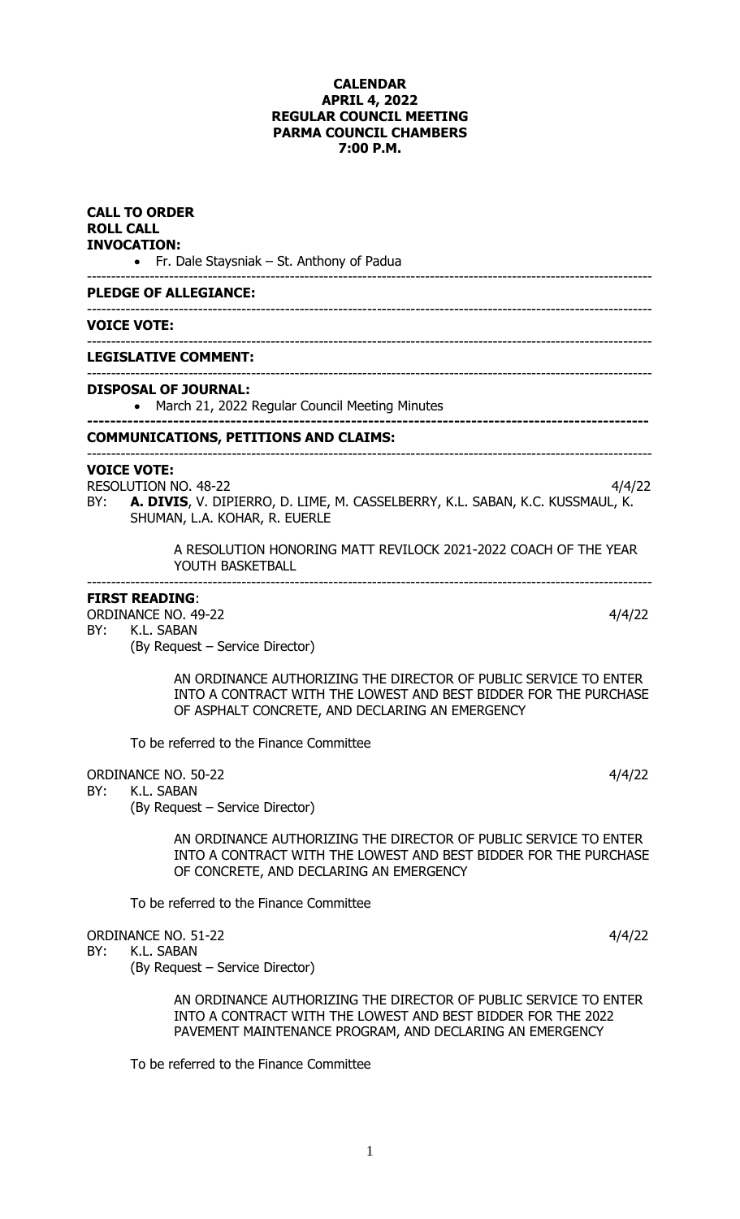#### **CALENDAR APRIL 4, 2022 REGULAR COUNCIL MEETING PARMA COUNCIL CHAMBERS 7:00 P.M.**

| <b>CALL TO ORDER</b><br><b>ROLL CALL</b><br><b>INVOCATION:</b><br>• Fr. Dale Staysniak – St. Anthony of Padua<br><b>PLEDGE OF ALLEGIANCE:</b> |                                                                                                                                                                                              |  |  |  |
|-----------------------------------------------------------------------------------------------------------------------------------------------|----------------------------------------------------------------------------------------------------------------------------------------------------------------------------------------------|--|--|--|
|                                                                                                                                               |                                                                                                                                                                                              |  |  |  |
|                                                                                                                                               | <b>LEGISLATIVE COMMENT:</b>                                                                                                                                                                  |  |  |  |
|                                                                                                                                               | <b>DISPOSAL OF JOURNAL:</b><br>March 21, 2022 Regular Council Meeting Minutes                                                                                                                |  |  |  |
|                                                                                                                                               | <b>COMMUNICATIONS, PETITIONS AND CLAIMS:</b>                                                                                                                                                 |  |  |  |
| BY:                                                                                                                                           | <b>VOICE VOTE:</b><br><b>RESOLUTION NO. 48-22</b><br>4/4/22<br><b>A. DIVIS,</b> V. DIPIERRO, D. LIME, M. CASSELBERRY, K.L. SABAN, K.C. KUSSMAUL, K.<br>SHUMAN, L.A. KOHAR, R. EUERLE         |  |  |  |
|                                                                                                                                               | A RESOLUTION HONORING MATT REVILOCK 2021-2022 COACH OF THE YEAR<br>YOUTH BASKETBALL                                                                                                          |  |  |  |
| BY:                                                                                                                                           | <b>FIRST READING:</b><br><b>ORDINANCE NO. 49-22</b><br>4/4/22<br>K.L. SABAN<br>(By Request – Service Director)                                                                               |  |  |  |
|                                                                                                                                               | AN ORDINANCE AUTHORIZING THE DIRECTOR OF PUBLIC SERVICE TO ENTER<br>INTO A CONTRACT WITH THE LOWEST AND BEST BIDDER FOR THE PURCHASE<br>OF ASPHALT CONCRETE, AND DECLARING AN EMERGENCY      |  |  |  |
|                                                                                                                                               | To be referred to the Finance Committee                                                                                                                                                      |  |  |  |
| BY:                                                                                                                                           | <b>ORDINANCE NO. 50-22</b><br>4/4/22<br>K.L. SABAN<br>(By Request – Service Director)                                                                                                        |  |  |  |
|                                                                                                                                               | AN ORDINANCE AUTHORIZING THE DIRECTOR OF PUBLIC SERVICE TO ENTER<br>INTO A CONTRACT WITH THE LOWEST AND BEST BIDDER FOR THE PURCHASE<br>OF CONCRETE, AND DECLARING AN EMERGENCY              |  |  |  |
|                                                                                                                                               | To be referred to the Finance Committee                                                                                                                                                      |  |  |  |
| BY:                                                                                                                                           | <b>ORDINANCE NO. 51-22</b><br>4/4/22<br>K.L. SABAN<br>(By Request – Service Director)                                                                                                        |  |  |  |
|                                                                                                                                               | AN ORDINANCE AUTHORIZING THE DIRECTOR OF PUBLIC SERVICE TO ENTER<br>INTO A CONTRACT WITH THE LOWEST AND BEST BIDDER FOR THE 2022<br>PAVEMENT MAINTENANCE PROGRAM, AND DECLARING AN EMERGENCY |  |  |  |
|                                                                                                                                               | To be referred to the Finance Committee                                                                                                                                                      |  |  |  |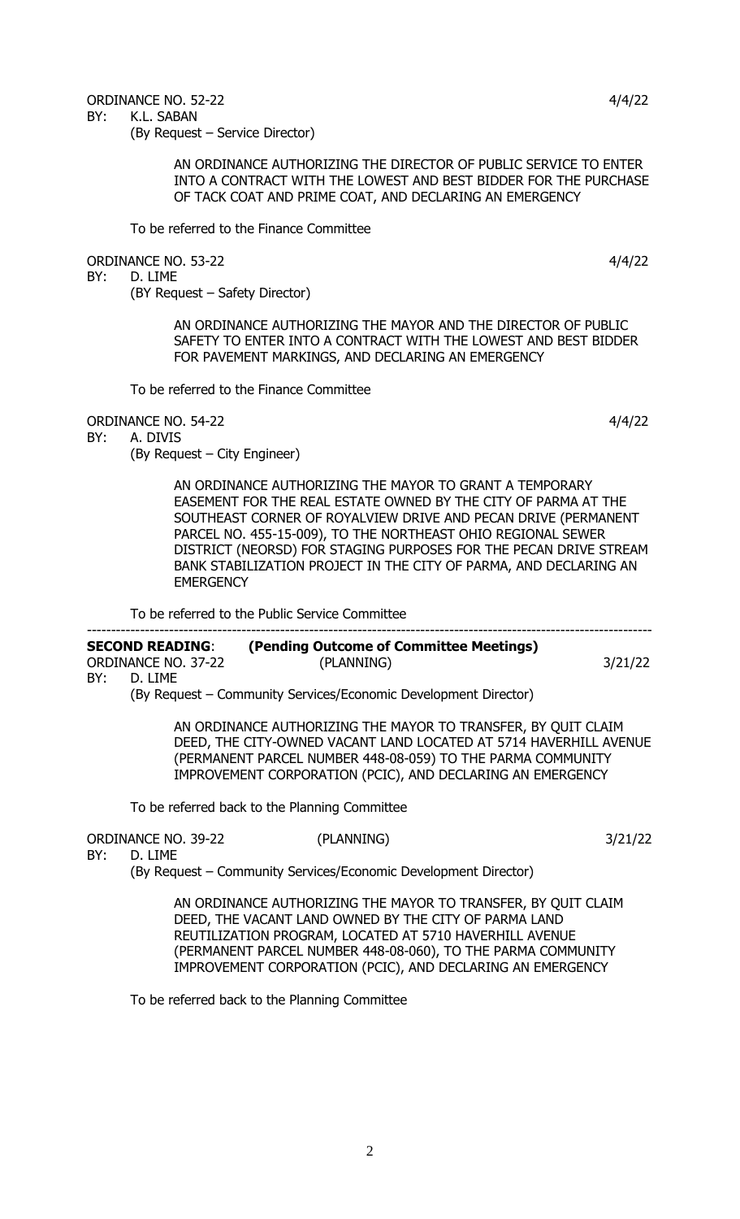### ORDINANCE NO. 52-22 4/4/22

BY: K.L. SABAN

(By Request – Service Director)

AN ORDINANCE AUTHORIZING THE DIRECTOR OF PUBLIC SERVICE TO ENTER INTO A CONTRACT WITH THE LOWEST AND BEST BIDDER FOR THE PURCHASE OF TACK COAT AND PRIME COAT, AND DECLARING AN EMERGENCY

To be referred to the Finance Committee

ORDINANCE NO. 53-22 4/4/22

BY: D. LIME

## (BY Request – Safety Director)

AN ORDINANCE AUTHORIZING THE MAYOR AND THE DIRECTOR OF PUBLIC SAFETY TO ENTER INTO A CONTRACT WITH THE LOWEST AND BEST BIDDER FOR PAVEMENT MARKINGS, AND DECLARING AN EMERGENCY

To be referred to the Finance Committee

ORDINANCE NO. 54-22 4/4/22

BY: A. DIVIS

(By Request – City Engineer)

AN ORDINANCE AUTHORIZING THE MAYOR TO GRANT A TEMPORARY EASEMENT FOR THE REAL ESTATE OWNED BY THE CITY OF PARMA AT THE SOUTHEAST CORNER OF ROYALVIEW DRIVE AND PECAN DRIVE (PERMANENT PARCEL NO. 455-15-009), TO THE NORTHEAST OHIO REGIONAL SEWER DISTRICT (NEORSD) FOR STAGING PURPOSES FOR THE PECAN DRIVE STREAM BANK STABILIZATION PROJECT IN THE CITY OF PARMA, AND DECLARING AN **EMERGENCY** 

To be referred to the Public Service Committee

#### --------------------------------------------------------------------------------------------------------------------- **SECOND READING**: **(Pending Outcome of Committee Meetings)** ORDINANCE NO. 37-22 (PLANNING) 3/21/22

BY: D. LIME

(By Request – Community Services/Economic Development Director)

AN ORDINANCE AUTHORIZING THE MAYOR TO TRANSFER, BY QUIT CLAIM DEED, THE CITY-OWNED VACANT LAND LOCATED AT 5714 HAVERHILL AVENUE (PERMANENT PARCEL NUMBER 448-08-059) TO THE PARMA COMMUNITY IMPROVEMENT CORPORATION (PCIC), AND DECLARING AN EMERGENCY

To be referred back to the Planning Committee

ORDINANCE NO. 39-22 (PLANNING) 3/21/22

BY: D. LIME

(By Request – Community Services/Economic Development Director)

AN ORDINANCE AUTHORIZING THE MAYOR TO TRANSFER, BY QUIT CLAIM DEED, THE VACANT LAND OWNED BY THE CITY OF PARMA LAND REUTILIZATION PROGRAM, LOCATED AT 5710 HAVERHILL AVENUE (PERMANENT PARCEL NUMBER 448-08-060), TO THE PARMA COMMUNITY IMPROVEMENT CORPORATION (PCIC), AND DECLARING AN EMERGENCY

To be referred back to the Planning Committee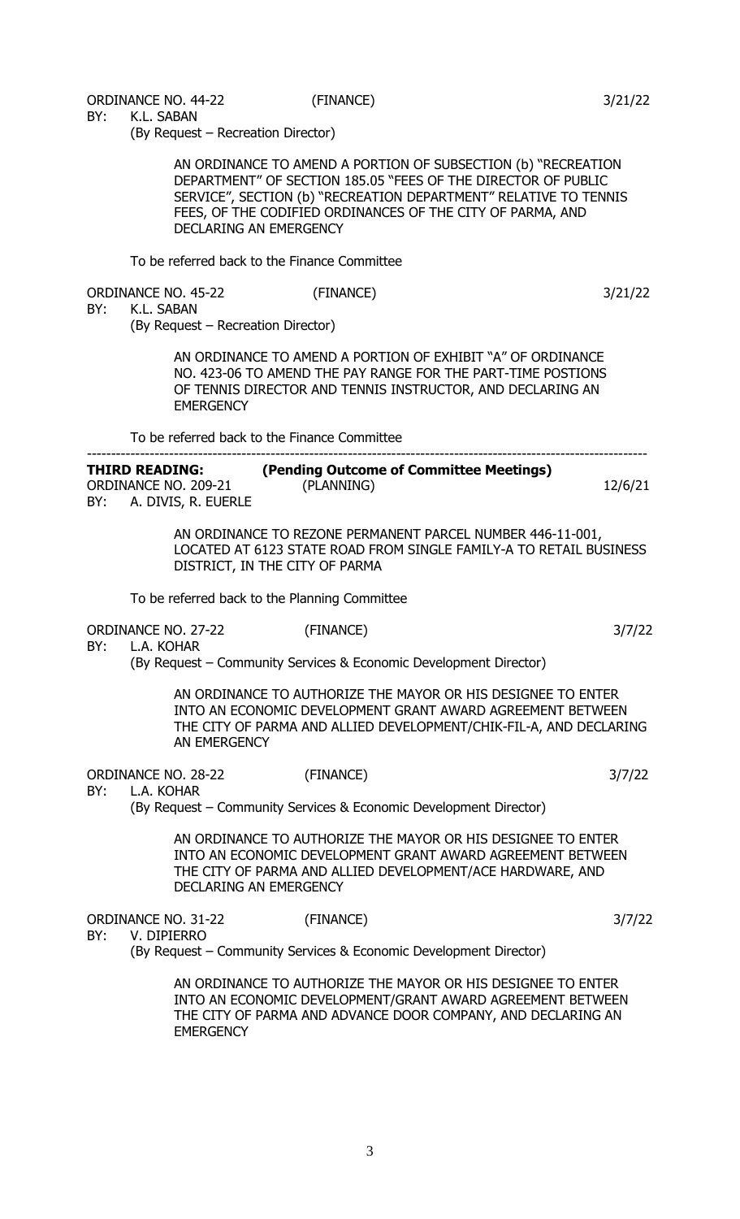3

BY: K.L. SABAN

(By Request – Recreation Director)

AN ORDINANCE TO AMEND A PORTION OF SUBSECTION (b) "RECREATION DEPARTMENT" OF SECTION 185.05 "FEES OF THE DIRECTOR OF PUBLIC SERVICE", SECTION (b) "RECREATION DEPARTMENT" RELATIVE TO TENNIS FEES, OF THE CODIFIED ORDINANCES OF THE CITY OF PARMA, AND DECLARING AN EMERGENCY

(FINANCE) 3/21/22

To be referred back to the Finance Committee

| <b>ORDINANCE NO. 45-22</b> |  |
|----------------------------|--|
|                            |  |

#### BY: K.L. SABAN

(By Request – Recreation Director)

AN ORDINANCE TO AMEND A PORTION OF EXHIBIT "A" OF ORDINANCE NO. 423-06 TO AMEND THE PAY RANGE FOR THE PART-TIME POSTIONS OF TENNIS DIRECTOR AND TENNIS INSTRUCTOR, AND DECLARING AN **EMERGENCY** 

To be referred back to the Finance Committee

| <b>THIRD READING:</b>      | (Pending Outcome of Committee Meetings) |         |
|----------------------------|-----------------------------------------|---------|
| ORDINANCE NO. 209-21       | (PLANNING)                              | 12/6/21 |
| BY:<br>A. DIVIS, R. EUERLE |                                         |         |

AN ORDINANCE TO REZONE PERMANENT PARCEL NUMBER 446-11-001, LOCATED AT 6123 STATE ROAD FROM SINGLE FAMILY-A TO RETAIL BUSINESS DISTRICT, IN THE CITY OF PARMA

To be referred back to the Planning Committee

ORDINANCE NO. 27-22 (FINANCE) 3/7/22

BY: L.A. KOHAR

(By Request – Community Services & Economic Development Director)

AN ORDINANCE TO AUTHORIZE THE MAYOR OR HIS DESIGNEE TO ENTER INTO AN ECONOMIC DEVELOPMENT GRANT AWARD AGREEMENT BETWEEN THE CITY OF PARMA AND ALLIED DEVELOPMENT/CHIK-FIL-A, AND DECLARING AN EMERGENCY

ORDINANCE NO. 28-22 (FINANCE) 3/7/22

BY: L.A. KOHAR

(By Request – Community Services & Economic Development Director)

AN ORDINANCE TO AUTHORIZE THE MAYOR OR HIS DESIGNEE TO ENTER INTO AN ECONOMIC DEVELOPMENT GRANT AWARD AGREEMENT BETWEEN THE CITY OF PARMA AND ALLIED DEVELOPMENT/ACE HARDWARE, AND DECLARING AN EMERGENCY

ORDINANCE NO. 31-22 (FINANCE) 3/7/22 BY: V. DIPIERRO

(By Request – Community Services & Economic Development Director)

AN ORDINANCE TO AUTHORIZE THE MAYOR OR HIS DESIGNEE TO ENTER INTO AN ECONOMIC DEVELOPMENT/GRANT AWARD AGREEMENT BETWEEN THE CITY OF PARMA AND ADVANCE DOOR COMPANY, AND DECLARING AN **EMERGENCY**